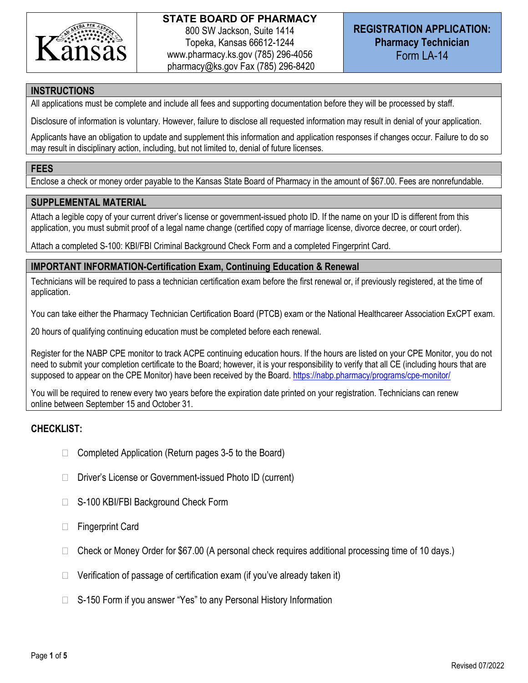

# **REGISTRATION APPLICATION: Pharmacy Technician** Form LA-14

## **INSTRUCTIONS**

All applications must be complete and include all fees and supporting documentation before they will be processed by staff.

Disclosure of information is voluntary. However, failure to disclose all requested information may result in denial of your application.

Applicants have an obligation to update and supplement this information and application responses if changes occur. Failure to do so may result in disciplinary action, including, but not limited to, denial of future licenses.

### **FEES**

Enclose a check or money order payable to the Kansas State Board of Pharmacy in the amount of \$67.00. Fees are nonrefundable.

## **SUPPLEMENTAL MATERIAL**

Attach a legible copy of your current driver's license or government-issued photo ID. If the name on your ID is different from this application, you must submit proof of a legal name change (certified copy of marriage license, divorce decree, or court order).

Attach a completed S-100: KBI/FBI Criminal Background Check Form and a completed Fingerprint Card.

### **IMPORTANT INFORMATION-Certification Exam, Continuing Education & Renewal**

Technicians will be required to pass a technician certification exam before the first renewal or, if previously registered, at the time of application.

You can take either the Pharmacy Technician Certification Board (PTCB) exam or the National Healthcareer Association ExCPT exam.

20 hours of qualifying continuing education must be completed before each renewal.

Register for the NABP CPE monitor to track ACPE continuing education hours. If the hours are listed on your CPE Monitor, you do not need to submit your completion certificate to the Board; however, it is your responsibility to verify that all CE (including hours that are supposed to appear on the CPE Monitor) have been received by the Board. https://nabp.pharmacy/programs/cpe-monitor/

You will be required to renew every two years before the expiration date printed on your registration. Technicians can renew online between September 15 and October 31.

## **CHECKLIST:**

- $\Box$  Completed Application (Return pages 3-5 to the Board)
- □ Driver's License or Government-issued Photo ID (current)
- □ S-100 KBI/FBI Background Check Form
- □ Fingerprint Card
- $\Box$  Check or Money Order for \$67.00 (A personal check requires additional processing time of 10 days.)
- $\Box$  Verification of passage of certification exam (if you've already taken it)
- $\Box$  S-150 Form if you answer "Yes" to any Personal History Information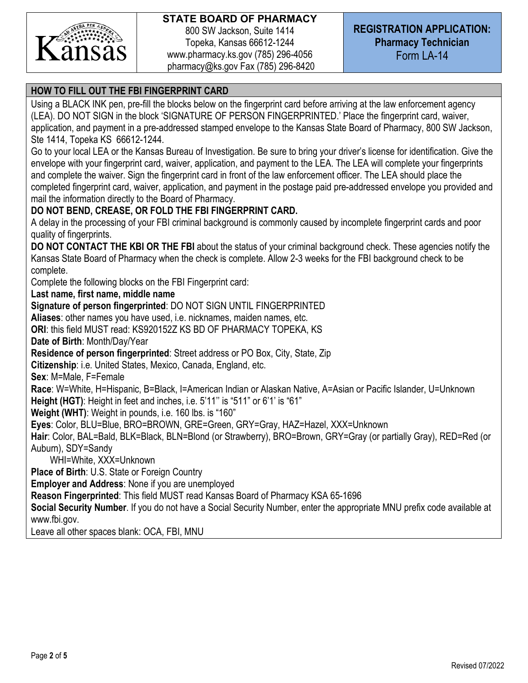

# **REGISTRATION APPLICATION: Pharmacy Technician** Form LA-14

# **HOW TO FILL OUT THE FBI FINGERPRINT CARD**

Using a BLACK INK pen, pre-fill the blocks below on the fingerprint card before arriving at the law enforcement agency (LEA). DO NOT SIGN in the block 'SIGNATURE OF PERSON FINGERPRINTED.' Place the fingerprint card, waiver, application, and payment in a pre-addressed stamped envelope to the Kansas State Board of Pharmacy, 800 SW Jackson, Ste 1414, Topeka KS 66612-1244.

Go to your local LEA or the Kansas Bureau of Investigation. Be sure to bring your driver's license for identification. Give the envelope with your fingerprint card, waiver, application, and payment to the LEA. The LEA will complete your fingerprints and complete the waiver. Sign the fingerprint card in front of the law enforcement officer. The LEA should place the completed fingerprint card, waiver, application, and payment in the postage paid pre-addressed envelope you provided and mail the information directly to the Board of Pharmacy.

# **DO NOT BEND, CREASE, OR FOLD THE FBI FINGERPRINT CARD.**

A delay in the processing of your FBI criminal background is commonly caused by incomplete fingerprint cards and poor quality of fingerprints.

**DO NOT CONTACT THE KBI OR THE FBI** about the status of your criminal background check. These agencies notify the Kansas State Board of Pharmacy when the check is complete. Allow 2-3 weeks for the FBI background check to be complete.

Complete the following blocks on the FBI Fingerprint card:

**Last name, first name, middle name** 

**Signature of person fingerprinted**: DO NOT SIGN UNTIL FINGERPRINTED

**Aliases**: other names you have used, i.e. nicknames, maiden names, etc.

**ORI**: this field MUST read: KS920152Z KS BD OF PHARMACY TOPEKA, KS

**Date of Birth**: Month/Day/Year

**Residence of person fingerprinted**: Street address or PO Box, City, State, Zip

**Citizenship**: i.e. United States, Mexico, Canada, England, etc.

**Sex**: M=Male, F=Female

**Race**: W=White, H=Hispanic, B=Black, I=American Indian or Alaskan Native, A=Asian or Pacific Islander, U=Unknown **Height (HGT)**: Height in feet and inches, i.e. 5'11'' is "511" or 6'1' is "61"

**Weight (WHT)**: Weight in pounds, i.e. 160 lbs. is "160"

**Eyes**: Color, BLU=Blue, BRO=BROWN, GRE=Green, GRY=Gray, HAZ=Hazel, XXX=Unknown

**Hair**: Color, BAL=Bald, BLK=Black, BLN=Blond (or Strawberry), BRO=Brown, GRY=Gray (or partially Gray), RED=Red (or Auburn), SDY=Sandy

WHI=White, XXX=Unknown

**Place of Birth**: U.S. State or Foreign Country

**Employer and Address**: None if you are unemployed

**Reason Fingerprinted**: This field MUST read Kansas Board of Pharmacy KSA 65-1696

**Social Security Number**. If you do not have a Social Security Number, enter the appropriate MNU prefix code available at www.fbi.gov.

Leave all other spaces blank: OCA, FBI, MNU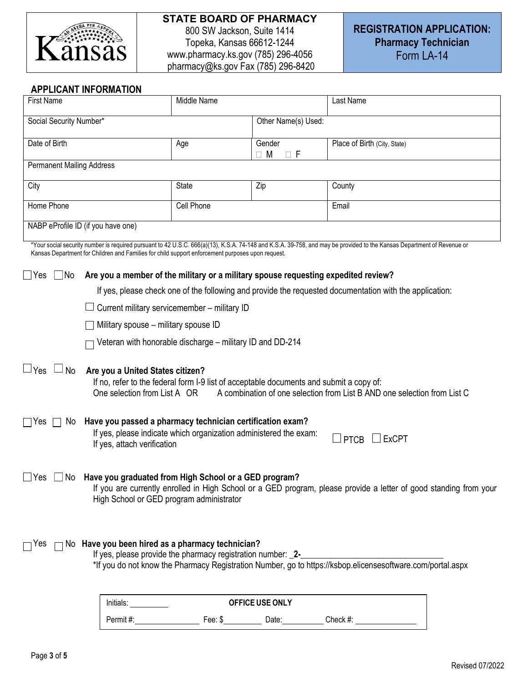

800 SW Jackson, Suite 1414 Topeka, Kansas 66612-1244 www.pharmacy.ks.gov (785) 296-4056 pharmacy@ks.gov Fax (785) 296-8420

### **APPLICANT INFORMATION**

| <b>First Name</b>                                                                                                                                                                                                                                                  | Middle Name                                                                                             |                                | Last Name                                                                                                                                                              |  |  |
|--------------------------------------------------------------------------------------------------------------------------------------------------------------------------------------------------------------------------------------------------------------------|---------------------------------------------------------------------------------------------------------|--------------------------------|------------------------------------------------------------------------------------------------------------------------------------------------------------------------|--|--|
| Social Security Number*                                                                                                                                                                                                                                            | Other Name(s) Used:                                                                                     |                                |                                                                                                                                                                        |  |  |
| Date of Birth                                                                                                                                                                                                                                                      | Age                                                                                                     | Gender<br>$\Box$ F<br>$\Box$ M | Place of Birth (City, State)                                                                                                                                           |  |  |
| <b>Permanent Mailing Address</b>                                                                                                                                                                                                                                   |                                                                                                         |                                |                                                                                                                                                                        |  |  |
| City                                                                                                                                                                                                                                                               | <b>State</b>                                                                                            | Zip                            | County                                                                                                                                                                 |  |  |
| Home Phone                                                                                                                                                                                                                                                         | Cell Phone                                                                                              |                                | Email                                                                                                                                                                  |  |  |
| NABP eProfile ID (if you have one)                                                                                                                                                                                                                                 |                                                                                                         |                                |                                                                                                                                                                        |  |  |
| Kansas Department for Children and Families for child support enforcement purposes upon request.                                                                                                                                                                   |                                                                                                         |                                | *Your social security number is required pursuant to 42 U.S.C. 666(a)(13), K.S.A. 74-148 and K.S.A. 39-758, and may be provided to the Kansas Department of Revenue or |  |  |
| $\Box$ No<br>Are you a member of the military or a military spouse requesting expedited review?<br>$\Box$ Yes                                                                                                                                                      |                                                                                                         |                                |                                                                                                                                                                        |  |  |
|                                                                                                                                                                                                                                                                    | If yes, please check one of the following and provide the requested documentation with the application: |                                |                                                                                                                                                                        |  |  |
|                                                                                                                                                                                                                                                                    | Current military servicemember - military ID                                                            |                                |                                                                                                                                                                        |  |  |
| Military spouse - military spouse ID                                                                                                                                                                                                                               |                                                                                                         |                                |                                                                                                                                                                        |  |  |
|                                                                                                                                                                                                                                                                    | Veteran with honorable discharge - military ID and DD-214                                               |                                |                                                                                                                                                                        |  |  |
| $\Box$ Yes<br>$\Box$ No<br>Are you a United States citizen?<br>If no, refer to the federal form I-9 list of acceptable documents and submit a copy of:<br>One selection from List A OR<br>A combination of one selection from List B AND one selection from List C |                                                                                                         |                                |                                                                                                                                                                        |  |  |
| Have you passed a pharmacy technician certification exam?<br>$\sqcap$ Yes<br>No.<br>If yes, please indicate which organization administered the exam:<br>$\Box$ ExCPT<br><b>PTCB</b><br>If yes, attach verification                                                |                                                                                                         |                                |                                                                                                                                                                        |  |  |
| Have you graduated from High School or a GED program?<br>_lYes<br>No.<br>If you are currently enrolled in High School or a GED program, please provide a letter of good standing from your<br>High School or GED program administrator                             |                                                                                                         |                                |                                                                                                                                                                        |  |  |
| No Have you been hired as a pharmacy technician?<br>ר Yes<br>If yes, please provide the pharmacy registration number: _2-<br>*If you do not know the Pharmacy Registration Number, go to https://ksbop.elicensesoftware.com/portal.aspx                            |                                                                                                         |                                |                                                                                                                                                                        |  |  |
| OFFICE USE ONLY<br>Initials:                                                                                                                                                                                                                                       |                                                                                                         |                                |                                                                                                                                                                        |  |  |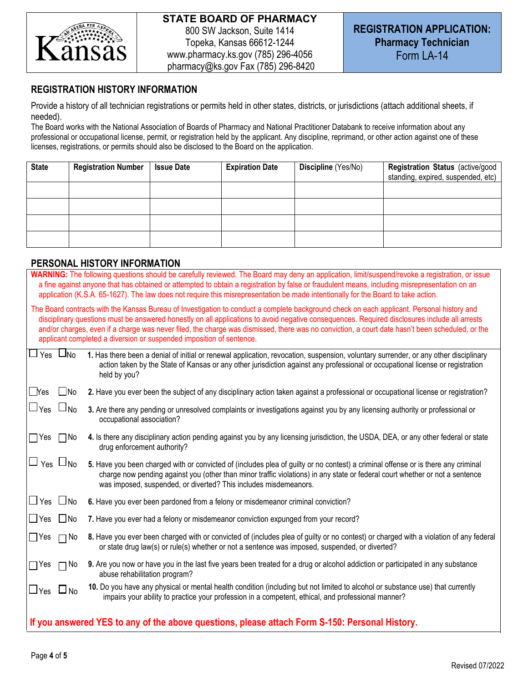

# **REGISTRATION HISTORY INFORMATION**

Provide a history of all technician registrations or permits held in other states, districts, or jurisdictions (attach additional sheets, if needed).

The Board works with the National Association of Boards of Pharmacy and National Practitioner Databank to receive information about any professional or occupational license, permit, or registration held by the applicant. Any discipline, reprimand, or other action against one of these licenses, registrations, or permits should also be disclosed to the Board on the application.

| <b>State</b> | <b>Registration Number</b> | <b>Issue Date</b> | <b>Expiration Date</b> | Discipline (Yes/No) | Registration Status (active/good  <br>standing, expired, suspended, etc) |
|--------------|----------------------------|-------------------|------------------------|---------------------|--------------------------------------------------------------------------|
|              |                            |                   |                        |                     |                                                                          |
|              |                            |                   |                        |                     |                                                                          |
|              |                            |                   |                        |                     |                                                                          |
|              |                            |                   |                        |                     |                                                                          |

# **PERSONAL HISTORY INFORMATION**

| FLRJUNAL HIJTURT INI URIMATIUN                                                                                                                                                                                                                                                                                                                                                                                                                                                                                         |
|------------------------------------------------------------------------------------------------------------------------------------------------------------------------------------------------------------------------------------------------------------------------------------------------------------------------------------------------------------------------------------------------------------------------------------------------------------------------------------------------------------------------|
| WARNING: The following questions should be carefully reviewed. The Board may deny an application, limit/suspend/revoke a registration, or issue<br>a fine against anyone that has obtained or attempted to obtain a registration by false or fraudulent means, including misrepresentation on an<br>application (K.S.A. 65-1627). The law does not require this misrepresentation be made intentionally for the Board to take action.                                                                                  |
| The Board contracts with the Kansas Bureau of Investigation to conduct a complete background check on each applicant. Personal history and<br>disciplinary questions must be answered honestly on all applications to avoid negative consequences. Required disclosures include all arrests<br>and/or charges, even if a charge was never filed, the charge was dismissed, there was no conviction, a court date hasn't been scheduled, or the<br>applicant completed a diversion or suspended imposition of sentence. |
| $\Box$ Yes $\Box$ No<br>1. Has there been a denial of initial or renewal application, revocation, suspension, voluntary surrender, or any other disciplinary<br>action taken by the State of Kansas or any other jurisdiction against any professional or occupational license or registration<br>held by you?                                                                                                                                                                                                         |
| $\Box$ Yes<br>$\Box$ No<br>2. Have you ever been the subject of any disciplinary action taken against a professional or occupational license or registration?                                                                                                                                                                                                                                                                                                                                                          |
| $\sqcup$ Yes $\sqcup$ No<br>3. Are there any pending or unresolved complaints or investigations against you by any licensing authority or professional or<br>occupational association?                                                                                                                                                                                                                                                                                                                                 |
| $\bigcap$ Yes<br>4. Is there any disciplinary action pending against you by any licensing jurisdiction, the USDA, DEA, or any other federal or state<br>$\Box$ No<br>drug enforcement authority?                                                                                                                                                                                                                                                                                                                       |
| $\Box$ $_{\text{Yes}}$ $\Box$ <sub>No</sub><br>5. Have you been charged with or convicted of (includes plea of guilty or no contest) a criminal offense or is there any criminal<br>charge now pending against you (other than minor traffic violations) in any state or federal court whether or not a sentence<br>was imposed, suspended, or diverted? This includes misdemeanors.                                                                                                                                   |
| $\Box$ Yes $\Box$ No<br>6. Have you ever been pardoned from a felony or misdemeanor criminal conviction?                                                                                                                                                                                                                                                                                                                                                                                                               |
| $\Box$ Yes<br>$\Box$ No<br>7. Have you ever had a felony or misdemeanor conviction expunged from your record?                                                                                                                                                                                                                                                                                                                                                                                                          |
| 8. Have you ever been charged with or convicted of (includes plea of guilty or no contest) or charged with a violation of any federal<br>$\Box$ Yes<br>$\Box$ No<br>or state drug law(s) or rule(s) whether or not a sentence was imposed, suspended, or diverted?                                                                                                                                                                                                                                                     |
| 9. Are you now or have you in the last five years been treated for a drug or alcohol addiction or participated in any substance<br>$\Box$ Yes<br>$\Box$ No<br>abuse rehabilitation program?                                                                                                                                                                                                                                                                                                                            |
| 10. Do you have any physical or mental health condition (including but not limited to alcohol or substance use) that currently<br>$\Box$ Yes $\Box$ No<br>impairs your ability to practice your profession in a competent, ethical, and professional manner?                                                                                                                                                                                                                                                           |
| If you answered YES to any of the above questions, please attach Form S-150: Personal History.                                                                                                                                                                                                                                                                                                                                                                                                                         |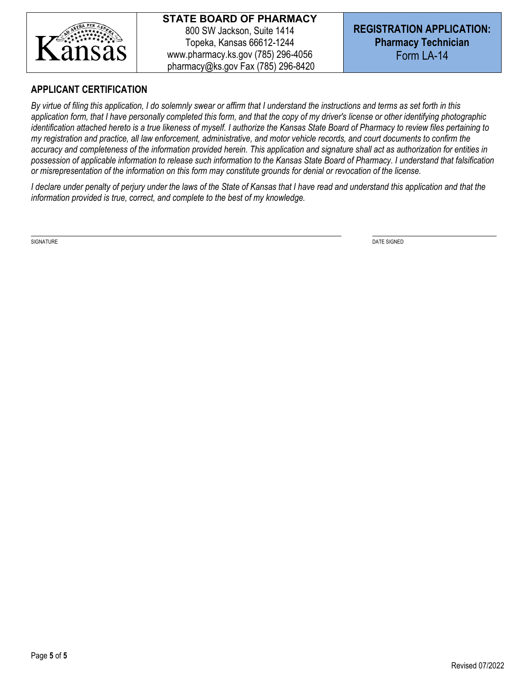

# **APPLICANT CERTIFICATION**

*By virtue of filing this application, I do solemnly swear or affirm that I understand the instructions and terms as set forth in this application form, that I have personally completed this form, and that the copy of my driver's license or other identifying photographic*  identification attached hereto is a true likeness of myself. I authorize the Kansas State Board of Pharmacy to review files pertaining to *my registration and practice, all law enforcement, administrative, and motor vehicle records, and court documents to confirm the accuracy and completeness of the information provided herein. This application and signature shall act as authorization for entities in possession of applicable information to release such information to the Kansas State Board of Pharmacy. I understand that falsification or misrepresentation of the information on this form may constitute grounds for denial or revocation of the license.*

*I declare under penalty of perjury under the laws of the State of Kansas that I have read and understand this application and that the information provided is true, correct, and complete to the best of my knowledge.*

SIGNATURE DATE SIGNED AND SERVER SIGNED AND SERVER SIGNED AND SERVER SIGNED AND SERVER SIGNED AND SERVER SIGNED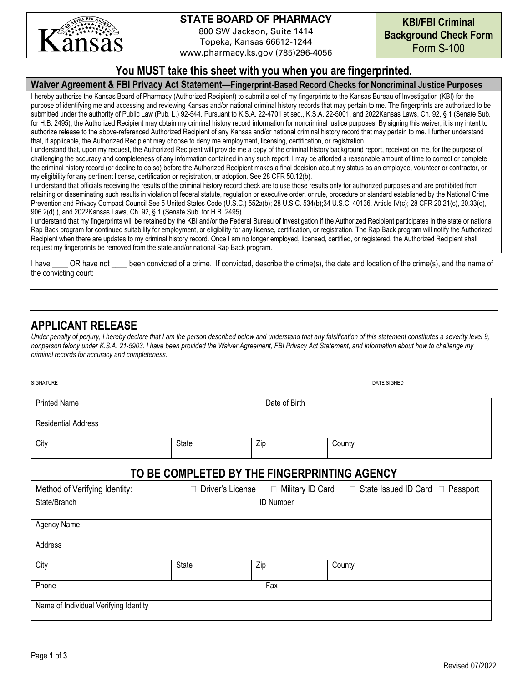

800 SW Jackson, Suite 1414 Topeka, Kansas 66612-1244

www.pharmacy.ks.gov (785)296-4056

# **You MUST take this sheet with you when you are fingerprinted.**

#### **Waiver Agreement & FBI Privacy Act Statement—Fingerprint-Based Record Checks for Noncriminal Justice Purposes**

I hereby authorize the Kansas Board of Pharmacy (Authorized Recipient) to submit a set of my fingerprints to the Kansas Bureau of Investigation (KBI) for the purpose of identifying me and accessing and reviewing Kansas and/or national criminal history records that may pertain to me. The fingerprints are authorized to be submitted under the authority of Public Law (Pub. L.) 92-544. Pursuant to K.S.A. 22-4701 et seq., K.S.A. 22-5001, and 2022Kansas Laws, Ch. 92, § 1 (Senate Sub. for H.B. 2495), the Authorized Recipient may obtain my criminal history record information for noncriminal justice purposes. By signing this waiver, it is my intent to authorize release to the above-referenced Authorized Recipient of any Kansas and/or national criminal history record that may pertain to me. I further understand that, if applicable, the Authorized Recipient may choose to deny me employment, licensing, certification, or registration.

I understand that, upon my request, the Authorized Recipient will provide me a copy of the criminal history background report, received on me, for the purpose of challenging the accuracy and completeness of any information contained in any such report. I may be afforded a reasonable amount of time to correct or complete the criminal history record (or decline to do so) before the Authorized Recipient makes a final decision about my status as an employee, volunteer or contractor, or my eligibility for any pertinent license, certification or registration, or adoption. See 28 CFR 50.12(b).

I understand that officials receiving the results of the criminal history record check are to use those results only for authorized purposes and are prohibited from retaining or disseminating such results in violation of federal statute, regulation or executive order, or rule, procedure or standard established by the National Crime Prevention and Privacy Compact Council See 5 United States Code (U.S.C.) 552a(b); 28 U.S.C. 534(b); 34 U.S.C. 40136, Article IV(c); 28 CFR 20.21(c), 20.33(d), 906.2(d).), and 2022Kansas Laws, Ch. 92, § 1 (Senate Sub. for H.B. 2495).

I understand that my fingerprints will be retained by the KBI and/or the Federal Bureau of Investigation if the Authorized Recipient participates in the state or national Rap Back program for continued suitability for employment, or eligibility for any license, certification, or registration. The Rap Back program will notify the Authorized Recipient when there are updates to my criminal history record. Once I am no longer employed, licensed, certified, or registered, the Authorized Recipient shall request my fingerprints be removed from the state and/or national Rap Back program.

I have CR have not been convicted of a crime. If convicted, describe the crime(s), the date and location of the crime(s), and the name of the convicting court:

# **APPLICANT RELEASE**

*Under penalty of perjury, I hereby declare that I am the person described below and understand that any falsification of this statement constitutes a severity level 9, nonperson felony under K.S.A. 21-5903. I have been provided the Waiver Agreement, FBI Privacy Act Statement, and information about how to challenge my criminal records for accuracy and completeness.*

| SIGNATURE                  |              |               | DATE SIGNED |
|----------------------------|--------------|---------------|-------------|
| <b>Printed Name</b>        |              | Date of Birth |             |
| <b>Residential Address</b> |              |               |             |
| City                       | <b>State</b> | Zip           | County      |

# **TO BE COMPLETED BY THE FINGERPRINTING AGENCY**

| Method of Verifying Identity:         | Driver's License | Military ID Card<br>$\Box$ | $\Box$ State Issued ID Card $\Box$ Passport |
|---------------------------------------|------------------|----------------------------|---------------------------------------------|
| State/Branch                          |                  | <b>ID Number</b>           |                                             |
|                                       |                  |                            |                                             |
| Agency Name                           |                  |                            |                                             |
| Address                               |                  |                            |                                             |
| City                                  | State            | Zip                        | County                                      |
| Phone                                 |                  | Fax                        |                                             |
| Name of Individual Verifying Identity |                  |                            |                                             |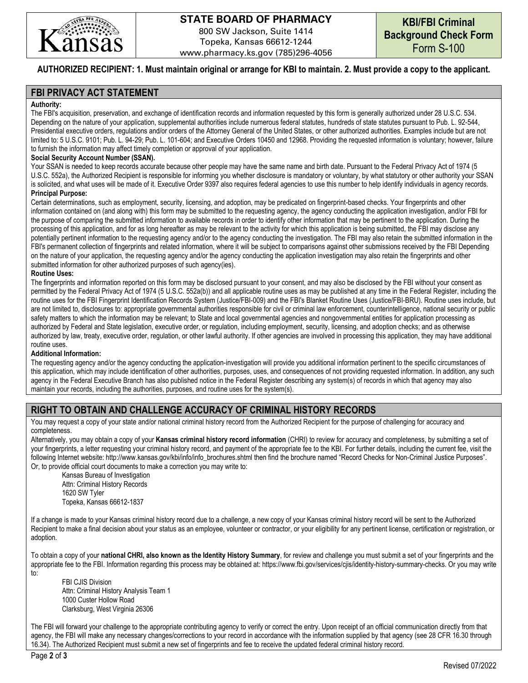

800 SW Jackson, Suite 1414 Topeka, Kansas 66612-1244 www.pharmacy.ks.gov (785)296-4056

#### **AUTHORIZED RECIPIENT: 1. Must maintain original or arrange for KBI to maintain. 2. Must provide a copy to the applicant.**

#### **FBI PRIVACY ACT STATEMENT**

#### **Authority:**

The FBI's acquisition, preservation, and exchange of identification records and information requested by this form is generally authorized under 28 U.S.C. 534. Depending on the nature of your application, supplemental authorities include numerous federal statutes, hundreds of state statutes pursuant to Pub. L. 92-544, Presidential executive orders, regulations and/or orders of the Attorney General of the United States, or other authorized authorities. Examples include but are not limited to: 5 U.S.C. 9101; Pub. L. 94-29; Pub. L. 101-604; and Executive Orders 10450 and 12968. Providing the requested information is voluntary; however, failure to furnish the information may affect timely completion or approval of your application.

#### **Social Security Account Number (SSAN).**

Your SSAN is needed to keep records accurate because other people may have the same name and birth date. Pursuant to the Federal Privacy Act of 1974 (5 U.S.C. 552a), the Authorized Recipient is responsible for informing you whether disclosure is mandatory or voluntary, by what statutory or other authority your SSAN is solicited, and what uses will be made of it. Executive Order 9397 also requires federal agencies to use this number to help identify individuals in agency records. **Principal Purpose:** 

Certain determinations, such as employment, security, licensing, and adoption, may be predicated on fingerprint-based checks. Your fingerprints and other information contained on (and along with) this form may be submitted to the requesting agency, the agency conducting the application investigation, and/or FBI for the purpose of comparing the submitted information to available records in order to identify other information that may be pertinent to the application. During the processing of this application, and for as long hereafter as may be relevant to the activity for which this application is being submitted, the FBI may disclose any potentially pertinent information to the requesting agency and/or to the agency conducting the investigation. The FBI may also retain the submitted information in the FBI's permanent collection of fingerprints and related information, where it will be subject to comparisons against other submissions received by the FBI Depending on the nature of your application, the requesting agency and/or the agency conducting the application investigation may also retain the fingerprints and other submitted information for other authorized purposes of such agency(ies).

#### **Routine Uses:**

The fingerprints and information reported on this form may be disclosed pursuant to your consent, and may also be disclosed by the FBI without your consent as permitted by the Federal Privacy Act of 1974 (5 U.S.C. 552a(b)) and all applicable routine uses as may be published at any time in the Federal Register, including the routine uses for the FBI Fingerprint Identification Records System (Justice/FBI-009) and the FBI's Blanket Routine Uses (Justice/FBI-BRU). Routine uses include, but are not limited to, disclosures to: appropriate governmental authorities responsible for civil or criminal law enforcement, counterintelligence, national security or public safety matters to which the information may be relevant; to State and local governmental agencies and nongovernmental entities for application processing as authorized by Federal and State legislation, executive order, or regulation, including employment, security, licensing, and adoption checks; and as otherwise authorized by law, treaty, executive order, regulation, or other lawful authority. If other agencies are involved in processing this application, they may have additional routine uses.

#### **Additional Information:**

The requesting agency and/or the agency conducting the application-investigation will provide you additional information pertinent to the specific circumstances of this application, which may include identification of other authorities, purposes, uses, and consequences of not providing requested information. In addition, any such agency in the Federal Executive Branch has also published notice in the Federal Register describing any system(s) of records in which that agency may also maintain your records, including the authorities, purposes, and routine uses for the system(s).

## **RIGHT TO OBTAIN AND CHALLENGE ACCURACY OF CRIMINAL HISTORY RECORDS**

You may request a copy of your state and/or national criminal history record from the Authorized Recipient for the purpose of challenging for accuracy and completeness.

Alternatively, you may obtain a copy of your **Kansas criminal history record information** (CHRI) to review for accuracy and completeness, by submitting a set of your fingerprints, a letter requesting your criminal history record, and payment of the appropriate fee to the KBI. For further details, including the current fee, visit the following Internet website: http://www.kansas.gov/kbi/info/info\_brochures.shtml then find the brochure named "Record Checks for Non-Criminal Justice Purposes". Or, to provide official court documents to make a correction you may write to:

Kansas Bureau of Investigation Attn: Criminal History Records 1620 SW Tyler Topeka, Kansas 66612-1837

If a change is made to your Kansas criminal history record due to a challenge, a new copy of your Kansas criminal history record will be sent to the Authorized Recipient to make a final decision about your status as an employee, volunteer or contractor, or your eligibility for any pertinent license, certification or registration, or adoption.

To obtain a copy of your **national CHRI, also known as the Identity History Summary**, for review and challenge you must submit a set of your fingerprints and the appropriate fee to the FBI. Information regarding this process may be obtained at: https://www.fbi.gov/services/cjis/identity-history-summary-checks. Or you may write to:

FBI CJIS Division Attn: Criminal History Analysis Team 1 1000 Custer Hollow Road Clarksburg, West Virginia 26306

The FBI will forward your challenge to the appropriate contributing agency to verify or correct the entry. Upon receipt of an official communication directly from that agency, the FBI will make any necessary changes/corrections to your record in accordance with the information supplied by that agency (see 28 CFR 16.30 through 16.34). The Authorized Recipient must submit a new set of fingerprints and fee to receive the updated federal criminal history record.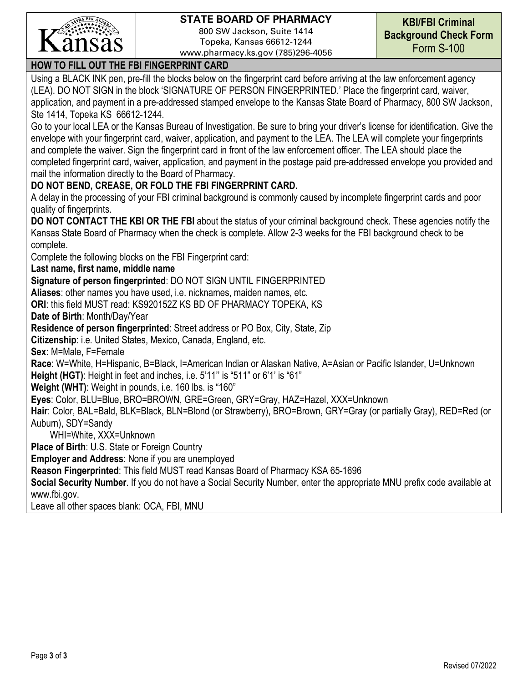

800 SW Jackson, Suite 1414 Topeka, Kansas 66612-1244 www.pharmacy.ks.gov (785)296-4056

# **HOW TO FILL OUT THE FBI FINGERPRINT CARD**

Using a BLACK INK pen, pre-fill the blocks below on the fingerprint card before arriving at the law enforcement agency (LEA). DO NOT SIGN in the block 'SIGNATURE OF PERSON FINGERPRINTED.' Place the fingerprint card, waiver, application, and payment in a pre-addressed stamped envelope to the Kansas State Board of Pharmacy, 800 SW Jackson, Ste 1414, Topeka KS 66612-1244.

Go to your local LEA or the Kansas Bureau of Investigation. Be sure to bring your driver's license for identification. Give the envelope with your fingerprint card, waiver, application, and payment to the LEA. The LEA will complete your fingerprints and complete the waiver. Sign the fingerprint card in front of the law enforcement officer. The LEA should place the completed fingerprint card, waiver, application, and payment in the postage paid pre-addressed envelope you provided and mail the information directly to the Board of Pharmacy.

# **DO NOT BEND, CREASE, OR FOLD THE FBI FINGERPRINT CARD.**

A delay in the processing of your FBI criminal background is commonly caused by incomplete fingerprint cards and poor quality of fingerprints.

**DO NOT CONTACT THE KBI OR THE FBI** about the status of your criminal background check. These agencies notify the Kansas State Board of Pharmacy when the check is complete. Allow 2-3 weeks for the FBI background check to be complete.

Complete the following blocks on the FBI Fingerprint card:

**Last name, first name, middle name** 

**Signature of person fingerprinted**: DO NOT SIGN UNTIL FINGERPRINTED

**Aliases**: other names you have used, i.e. nicknames, maiden names, etc.

**ORI**: this field MUST read: KS920152Z KS BD OF PHARMACY TOPEKA, KS

**Date of Birth**: Month/Day/Year

**Residence of person fingerprinted**: Street address or PO Box, City, State, Zip

**Citizenship**: i.e. United States, Mexico, Canada, England, etc.

**Sex**: M=Male, F=Female

**Race**: W=White, H=Hispanic, B=Black, I=American Indian or Alaskan Native, A=Asian or Pacific Islander, U=Unknown **Height (HGT)**: Height in feet and inches, i.e. 5'11'' is "511" or 6'1' is "61"

**Weight (WHT)**: Weight in pounds, i.e. 160 lbs. is "160"

**Eyes**: Color, BLU=Blue, BRO=BROWN, GRE=Green, GRY=Gray, HAZ=Hazel, XXX=Unknown

**Hair**: Color, BAL=Bald, BLK=Black, BLN=Blond (or Strawberry), BRO=Brown, GRY=Gray (or partially Gray), RED=Red (or Auburn), SDY=Sandy

WHI=White, XXX=Unknown

**Place of Birth**: U.S. State or Foreign Country

**Employer and Address**: None if you are unemployed

**Reason Fingerprinted**: This field MUST read Kansas Board of Pharmacy KSA 65-1696

**Social Security Number**. If you do not have a Social Security Number, enter the appropriate MNU prefix code available at www.fbi.gov.

Leave all other spaces blank: OCA, FBI, MNU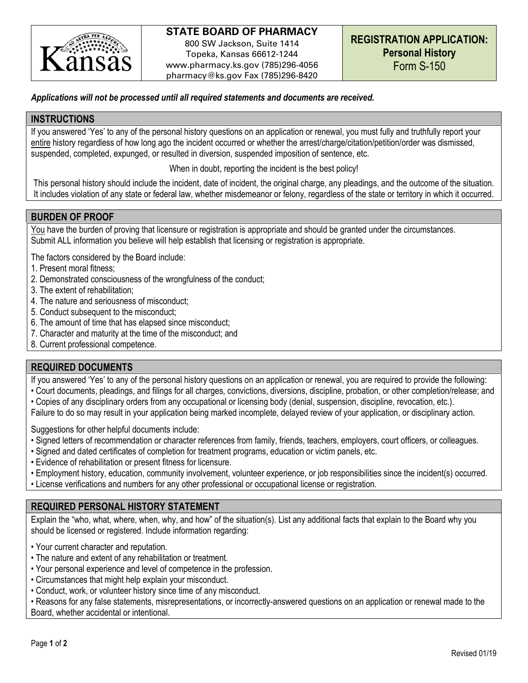

800 SW Jackson, Suite 1414 Topeka, Kansas 66612-1244 www.pharmacy.ks.gov (785)296-4056 pharmacy@ks.gov Fax (785)296-8420

### *Applications will not be processed until all required statements and documents are received.*

#### **INSTRUCTIONS**

If you answered 'Yes' to any of the personal history questions on an application or renewal, you must fully and truthfully report your entire history regardless of how long ago the incident occurred or whether the arrest/charge/citation/petition/order was dismissed, suspended, completed, expunged, or resulted in diversion, suspended imposition of sentence, etc.

When in doubt, reporting the incident is the best policy!

This personal history should include the incident, date of incident, the original charge, any pleadings, and the outcome of the situation. It includes violation of any state or federal law, whether misdemeanor or felony, regardless of the state or territory in which it occurred.

## **BURDEN OF PROOF**

You have the burden of proving that licensure or registration is appropriate and should be granted under the circumstances. Submit ALL information you believe will help establish that licensing or registration is appropriate.

The factors considered by the Board include:

- 1. Present moral fitness;
- 2. Demonstrated consciousness of the wrongfulness of the conduct;
- 3. The extent of rehabilitation;
- 4. The nature and seriousness of misconduct;
- 5. Conduct subsequent to the misconduct;
- 6. The amount of time that has elapsed since misconduct;
- 7. Character and maturity at the time of the misconduct; and
- 8. Current professional competence.

## **REQUIRED DOCUMENTS**

If you answered 'Yes' to any of the personal history questions on an application or renewal, you are required to provide the following:

- Court documents, pleadings, and filings for all charges, convictions, diversions, discipline, probation, or other completion/release; and
- Copies of any disciplinary orders from any occupational or licensing body (denial, suspension, discipline, revocation, etc.).
- Failure to do so may result in your application being marked incomplete, delayed review of your application, or disciplinary action.

Suggestions for other helpful documents include:

- Signed letters of recommendation or character references from family, friends, teachers, employers, court officers, or colleagues.
- Signed and dated certificates of completion for treatment programs, education or victim panels, etc.
- Evidence of rehabilitation or present fitness for licensure.
- Employment history, education, community involvement, volunteer experience, or job responsibilities since the incident(s) occurred.
- License verifications and numbers for any other professional or occupational license or registration.

## **REQUIRED PERSONAL HISTORY STATEMENT**

Explain the "who, what, where, when, why, and how" of the situation(s). List any additional facts that explain to the Board why you should be licensed or registered. Include information regarding:

- Your current character and reputation.
- The nature and extent of any rehabilitation or treatment.
- Your personal experience and level of competence in the profession.
- Circumstances that might help explain your misconduct.
- Conduct, work, or volunteer history since time of any misconduct.

• Reasons for any false statements, misrepresentations, or incorrectly-answered questions on an application or renewal made to the Board, whether accidental or intentional.